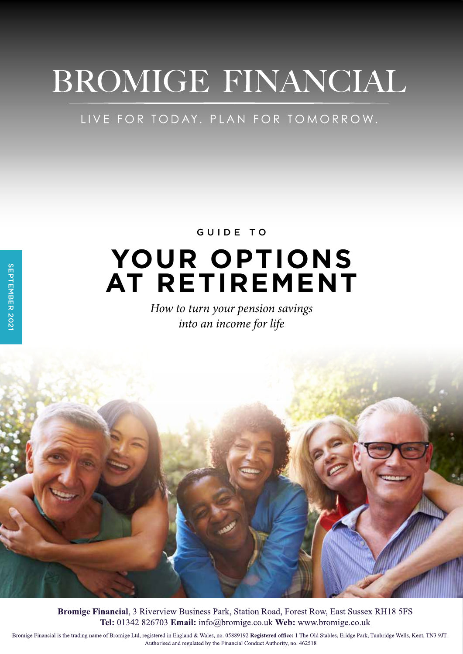# BROMIGE FINANCIAL

### LIVE FOR TODAY. PLAN FOR TOMORROW.

## **YOUR OPTIONS AT RETIREMENT** GUIDE TO

*How to turn your pension savings into an income for life*



Bromige Financial, 3 Riverview Business Park, Station Road, Forest Row, East Sussex RH18 5FS Tel: 01342 826703 Email: info@bromige.co.uk Web: www.bromige.co.uk

Bromige Financial is the trading name of Bromige Ltd, registered in England & Wales, no. 05889192 Registered office: 1 The Old Stables, Eridge Park, Tunbridge Wells, Kent, TN3 9JT. Authorised and regulated by the Financial Conduct Authority, no. 462518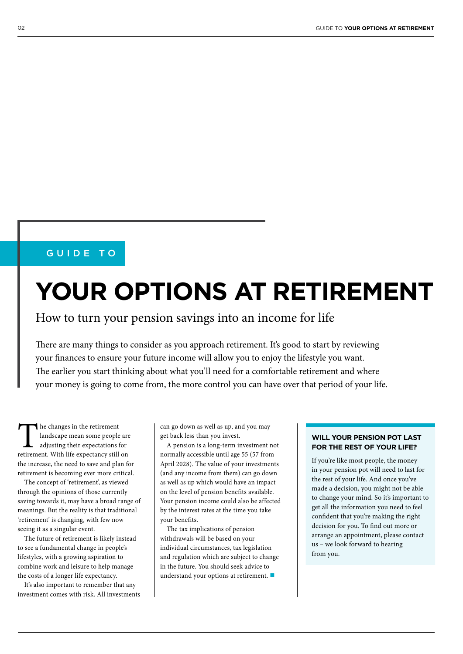### GUIDE TO

## **YOUR OPTIONS AT RETIREMENT**

### How to turn your pension savings into an income for life

There are many things to consider as you approach retirement. It's good to start by reviewing your finances to ensure your future income will allow you to enjoy the lifestyle you want. The earlier you start thinking about what you'll need for a comfortable retirement and where your money is going to come from, the more control you can have over that period of your life.

The changes in the retirement<br>
landscape mean some people are<br>
adjusting their expectations for<br>
retirement. With life expectancy still on landscape mean some people are adjusting their expectations for the increase, the need to save and plan for retirement is becoming ever more critical.

The concept of 'retirement', as viewed through the opinions of those currently saving towards it, may have a broad range of meanings. But the reality is that traditional 'retirement' is changing, with few now seeing it as a singular event.

The future of retirement is likely instead to see a fundamental change in people's lifestyles, with a growing aspiration to combine work and leisure to help manage the costs of a longer life expectancy.

It's also important to remember that any investment comes with risk. All investments can go down as well as up, and you may get back less than you invest.

A pension is a long-term investment not normally accessible until age 55 (57 from April 2028). The value of your investments (and any income from them) can go down as well as up which would have an impact on the level of pension benefits available. Your pension income could also be affected by the interest rates at the time you take your benefits.

The tax implications of pension withdrawals will be based on your individual circumstances, tax legislation and regulation which are subject to change in the future. You should seek advice to understand your options at retirement.

#### **WILL YOUR PENSION POT LAST FOR THE REST OF YOUR LIFE?**

If you're like most people, the money in your pension pot will need to last for the rest of your life. And once you've made a decision, you might not be able to change your mind. So it's important to get all the information you need to feel confident that you're making the right decision for you. To find out more or arrange an appointment, please contact us – we look forward to hearing from you.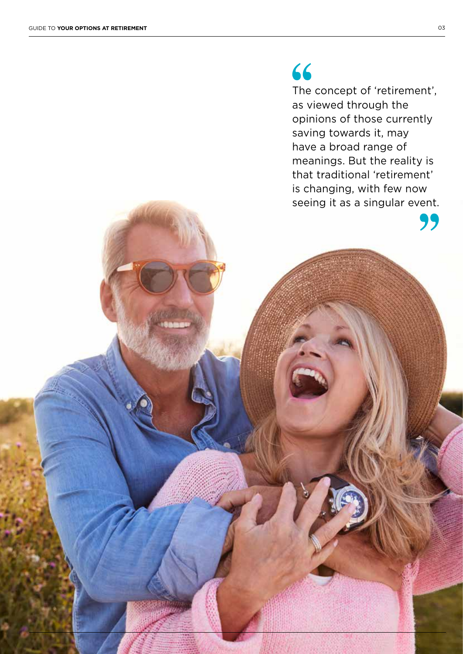### 66

The concept of 'retirement', as viewed through the opinions of those currently saving towards it, may have a broad range of meanings. But the reality is that traditional 'retirement' is changing, with few now seeing it as a singular event.

99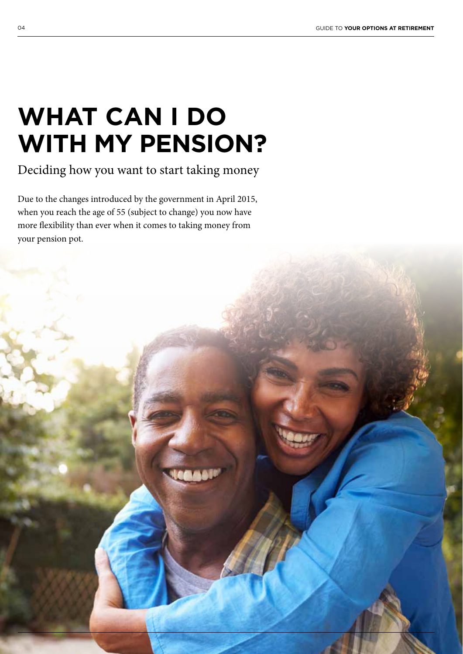## **WHAT CAN I DO WITH MY PENSION?**

Deciding how you want to start taking money

Due to the changes introduced by the government in April 2015, when you reach the age of 55 (subject to change) you now have more flexibility than ever when it comes to taking money from your pension pot.

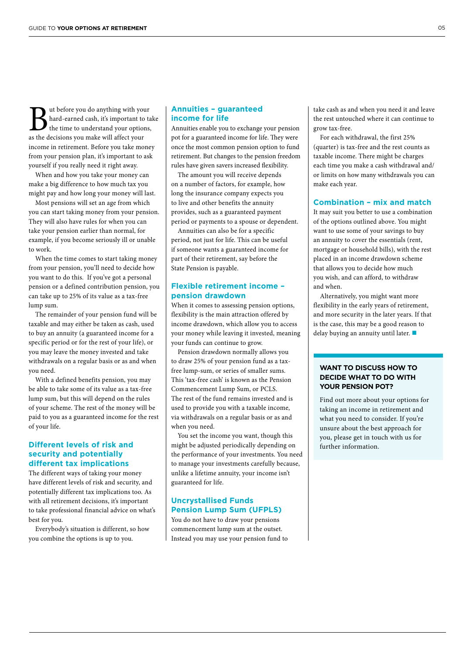**But before you do anything with your**<br>thard-earned cash, it's important to take the time to understand your options,<br>as the decisions you make will affect your hard-earned cash, it's important to take the time to understand your options, as the decisions you make will affect your income in retirement. Before you take money from your pension plan, it's important to ask yourself if you really need it right away.

When and how you take your money can make a big difference to how much tax you might pay and how long your money will last.

Most pensions will set an age from which you can start taking money from your pension. They will also have rules for when you can take your pension earlier than normal, for example, if you become seriously ill or unable to work.

When the time comes to start taking money from your pension, you'll need to decide how you want to do this. If you've got a personal pension or a defined contribution pension, you can take up to 25% of its value as a tax-free lump sum.

The remainder of your pension fund will be taxable and may either be taken as cash, used to buy an annuity (a guaranteed income for a specific period or for the rest of your life), or you may leave the money invested and take withdrawals on a regular basis or as and when you need.

With a defined benefits pension, you may be able to take some of its value as a tax-free lump sum, but this will depend on the rules of your scheme. The rest of the money will be paid to you as a guaranteed income for the rest of your life.

### **Different levels of risk and security and potentially different tax implications**

The different ways of taking your money have different levels of risk and security, and potentially different tax implications too. As with all retirement decisions, it's important to take professional financial advice on what's best for you.

Everybody's situation is different, so how you combine the options is up to you.

#### **Annuities – guaranteed income for life**

Annuities enable you to exchange your pension pot for a guaranteed income for life. They were once the most common pension option to fund retirement. But changes to the pension freedom rules have given savers increased flexibility.

The amount you will receive depends on a number of factors, for example, how long the insurance company expects you to live and other benefits the annuity provides, such as a guaranteed payment period or payments to a spouse or dependent.

Annuities can also be for a specific period, not just for life. This can be useful if someone wants a guaranteed income for part of their retirement, say before the State Pension is payable.

### **Flexible retirement income – pension drawdown**

When it comes to assessing pension options, flexibility is the main attraction offered by income drawdown, which allow you to access your money while leaving it invested, meaning your funds can continue to grow.

Pension drawdown normally allows you to draw 25% of your pension fund as a taxfree lump-sum, or series of smaller sums. This 'tax-free cash' is known as the Pension Commencement Lump Sum, or PCLS. The rest of the fund remains invested and is used to provide you with a taxable income, via withdrawals on a regular basis or as and when you need.

You set the income you want, though this might be adjusted periodically depending on the performance of your investments. You need to manage your investments carefully because, unlike a lifetime annuity, your income isn't guaranteed for life.

### **Uncrystallised Funds Pension Lump Sum (UFPLS)**

You do not have to draw your pensions commencement lump sum at the outset. Instead you may use your pension fund to

take cash as and when you need it and leave the rest untouched where it can continue to grow tax-free.

For each withdrawal, the first 25% (quarter) is tax-free and the rest counts as taxable income. There might be charges each time you make a cash withdrawal and/ or limits on how many withdrawals you can make each year.

### **Combination – mix and match**

It may suit you better to use a combination of the options outlined above. You might want to use some of your savings to buy an annuity to cover the essentials (rent, mortgage or household bills), with the rest placed in an income drawdown scheme that allows you to decide how much you wish, and can afford, to withdraw and when.

Alternatively, you might want more flexibility in the early years of retirement, and more security in the later years. If that is the case, this may be a good reason to delay buying an annuity until later.

### **WANT TO DISCUSS HOW TO DECIDE WHAT TO DO WITH YOUR PENSION POT?**

Find out more about your options for taking an income in retirement and what you need to consider. If you're unsure about the best approach for you, please get in touch with us for further information.